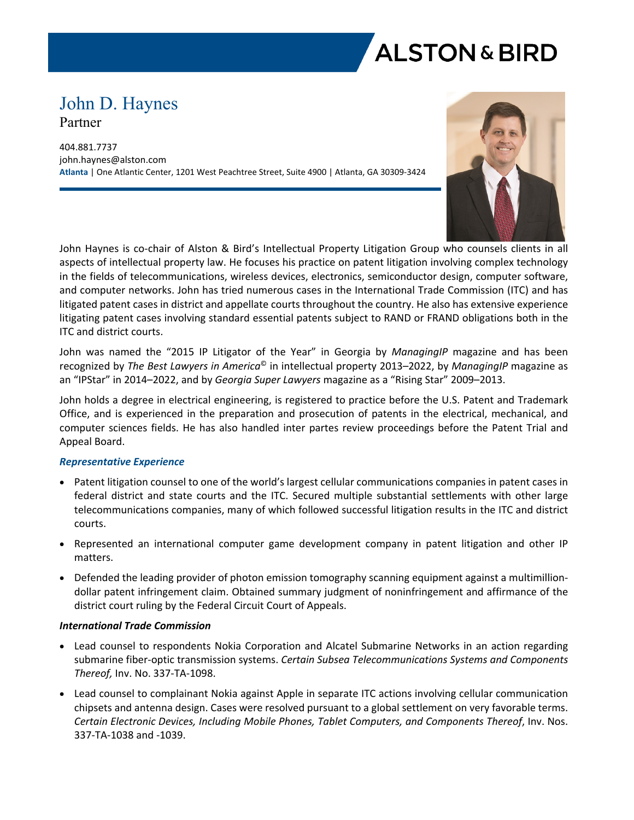

# John D. Haynes Partner

404.881.7737 john.haynes@alston.com **Atlanta** | One Atlantic Center, 1201 West Peachtree Street, Suite 4900 | Atlanta, GA 30309-3424



John Haynes is co-chair of Alston & Bird's Intellectual Property Litigation Group who counsels clients in all aspects of intellectual property law. He focuses his practice on patent litigation involving complex technology in the fields of telecommunications, wireless devices, electronics, semiconductor design, computer software, and computer networks. John has tried numerous cases in the International Trade Commission (ITC) and has litigated patent cases in district and appellate courts throughout the country. He also has extensive experience litigating patent cases involving standard essential patents subject to RAND or FRAND obligations both in the ITC and district courts.

John was named the "2015 IP Litigator of the Year" in Georgia by *ManagingIP* magazine and has been recognized by *The Best Lawyers in America*© in intellectual property 2013–2022, by *ManagingIP* magazine as an "IPStar" in 2014–2022, and by *Georgia Super Lawyers* magazine as a "Rising Star" 2009–2013.

John holds a degree in electrical engineering, is registered to practice before the U.S. Patent and Trademark Office, and is experienced in the preparation and prosecution of patents in the electrical, mechanical, and computer sciences fields. He has also handled inter partes review proceedings before the Patent Trial and Appeal Board.

# *Representative Experience*

- Patent litigation counsel to one of the world's largest cellular communications companies in patent cases in federal district and state courts and the ITC. Secured multiple substantial settlements with other large telecommunications companies, many of which followed successful litigation results in the ITC and district courts.
- Represented an international computer game development company in patent litigation and other IP matters.
- Defended the leading provider of photon emission tomography scanning equipment against a multimilliondollar patent infringement claim. Obtained summary judgment of noninfringement and affirmance of the district court ruling by the Federal Circuit Court of Appeals.

## *International Trade Commission*

- Lead counsel to respondents Nokia Corporation and Alcatel Submarine Networks in an action regarding submarine fiber-optic transmission systems. *Certain Subsea Telecommunications Systems and Components Thereof,* Inv. No. 337-TA-1098.
- Lead counsel to complainant Nokia against Apple in separate ITC actions involving cellular communication chipsets and antenna design. Cases were resolved pursuant to a global settlement on very favorable terms. *Certain Electronic Devices, Including Mobile Phones, Tablet Computers, and Components Thereof*, Inv. Nos. 337-TA-1038 and -1039.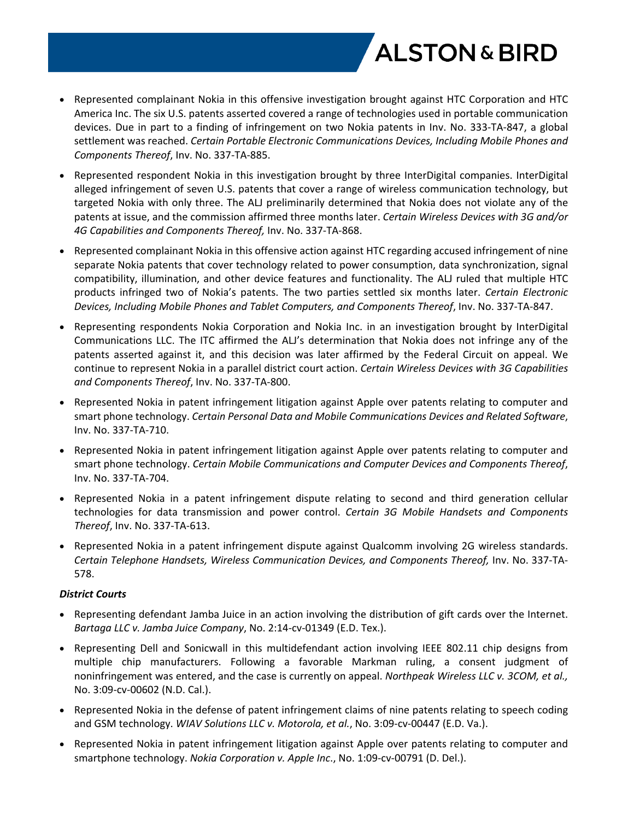

- Represented complainant Nokia in this offensive investigation brought against HTC Corporation and HTC America Inc. The six U.S. patents asserted covered a range of technologies used in portable communication devices. Due in part to a finding of infringement on two Nokia patents in Inv. No. 333-TA-847, a global settlement was reached. *Certain Portable Electronic Communications Devices, Including Mobile Phones and Components Thereof*, Inv. No. 337-TA-885.
- Represented respondent Nokia in this investigation brought by three InterDigital companies. InterDigital alleged infringement of seven U.S. patents that cover a range of wireless communication technology, but targeted Nokia with only three. The ALJ preliminarily determined that Nokia does not violate any of the patents at issue, and the commission affirmed three months later. *Certain Wireless Devices with 3G and/or 4G Capabilities and Components Thereof,* Inv. No. 337-TA-868.
- Represented complainant Nokia in this offensive action against HTC regarding accused infringement of nine separate Nokia patents that cover technology related to power consumption, data synchronization, signal compatibility, illumination, and other device features and functionality. The ALJ ruled that multiple HTC products infringed two of Nokia's patents. The two parties settled six months later. *Certain Electronic Devices, Including Mobile Phones and Tablet Computers, and Components Thereof*, Inv. No. 337-TA-847.
- Representing respondents Nokia Corporation and Nokia Inc. in an investigation brought by InterDigital Communications LLC. The ITC affirmed the ALJ's determination that Nokia does not infringe any of the patents asserted against it, and this decision was later affirmed by the Federal Circuit on appeal. We continue to represent Nokia in a parallel district court action. *Certain Wireless Devices with 3G Capabilities and Components Thereof*, Inv. No. 337-TA-800.
- Represented Nokia in patent infringement litigation against Apple over patents relating to computer and smart phone technology. *Certain Personal Data and Mobile Communications Devices and Related Software*, Inv. No. 337-TA-710.
- Represented Nokia in patent infringement litigation against Apple over patents relating to computer and smart phone technology. *Certain Mobile Communications and Computer Devices and Components Thereof*, Inv. No. 337-TA-704.
- Represented Nokia in a patent infringement dispute relating to second and third generation cellular technologies for data transmission and power control. *Certain 3G Mobile Handsets and Components Thereof*, Inv. No. 337-TA-613.
- Represented Nokia in a patent infringement dispute against Qualcomm involving 2G wireless standards. *Certain Telephone Handsets, Wireless Communication Devices, and Components Thereof,* Inv. No. 337-TA-578.

# *District Courts*

- Representing defendant Jamba Juice in an action involving the distribution of gift cards over the Internet. *Bartaga LLC v. Jamba Juice Company*, No. 2:14-cv-01349 (E.D. Tex.).
- Representing Dell and Sonicwall in this multidefendant action involving IEEE 802.11 chip designs from multiple chip manufacturers. Following a favorable Markman ruling, a consent judgment of noninfringement was entered, and the case is currently on appeal. *Northpeak Wireless LLC v. 3COM, et al.,*  No. 3:09-cv-00602 (N.D. Cal.).
- Represented Nokia in the defense of patent infringement claims of nine patents relating to speech coding and GSM technology. *WIAV Solutions LLC v. Motorola, et al.*, No. 3:09-cv-00447 (E.D. Va.).
- Represented Nokia in patent infringement litigation against Apple over patents relating to computer and smartphone technology. *Nokia Corporation v. Apple Inc*., No. 1:09-cv-00791 (D. Del.).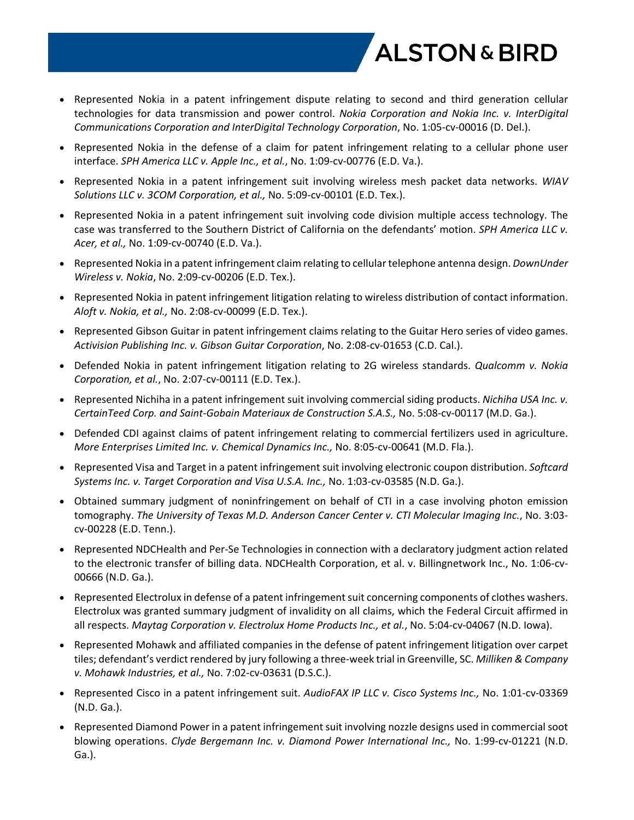

- Represented Nokia in a patent infringement dispute relating to second and third generation cellular technologies for data transmission and power control. *Nokia Corporation and Nokia Inc. v. InterDigital Communications Corporation and InterDigital Technology Corporation*, No. 1:05-cv-00016 (D. Del.).
- Represented Nokia in the defense of a claim for patent infringement relating to a cellular phone user interface. *SPH America LLC v. Apple Inc., et al.*, No. 1:09-cv-00776 (E.D. Va.).
- Represented Nokia in a patent infringement suit involving wireless mesh packet data networks. *WIAV Solutions LLC v. 3COM Corporation, et al.,* No. 5:09-cv-00101 (E.D. Tex.).
- Represented Nokia in a patent infringement suit involving code division multiple access technology. The case was transferred to the Southern District of California on the defendants' motion. *SPH America LLC v. Acer, et al.,* No. 1:09-cv-00740 (E.D. Va.).
- Represented Nokia in a patent infringement claim relating to cellular telephone antenna design. *DownUnder Wireless v. Nokia*, No. 2:09-cv-00206 (E.D. Tex.).
- Represented Nokia in patent infringement litigation relating to wireless distribution of contact information. *Aloft v. Nokia, et al.,* No. 2:08-cv-00099 (E.D. Tex.).
- Represented Gibson Guitar in patent infringement claims relating to the Guitar Hero series of video games. *Activision Publishing Inc. v. Gibson Guitar Corporation*, No. 2:08-cv-01653 (C.D. Cal.).
- Defended Nokia in patent infringement litigation relating to 2G wireless standards. *Qualcomm v. Nokia Corporation, et al.*, No. 2:07-cv-00111 (E.D. Tex.).
- Represented Nichiha in a patent infringement suit involving commercial siding products. *Nichiha USA Inc. v. CertainTeed Corp. and Saint-Gobain Materiaux de Construction S.A.S.,* No. 5:08-cv-00117 (M.D. Ga.).
- Defended CDI against claims of patent infringement relating to commercial fertilizers used in agriculture. *More Enterprises Limited Inc. v. Chemical Dynamics Inc.,* No. 8:05-cv-00641 (M.D. Fla.).
- Represented Visa and Target in a patent infringement suit involving electronic coupon distribution. *Softcard Systems Inc. v. Target Corporation and Visa U.S.A. Inc.,* No. 1:03-cv-03585 (N.D. Ga.).
- Obtained summary judgment of noninfringement on behalf of CTI in a case involving photon emission tomography. *The University of Texas M.D. Anderson Cancer Center v. CTI Molecular Imaging Inc.*, No. 3:03 cv-00228 (E.D. Tenn.).
- Represented NDCHealth and Per-Se Technologies in connection with a declaratory judgment action related to the electronic transfer of billing data. NDCHealth Corporation, et al. v. Billingnetwork Inc., No. 1:06-cv-00666 (N.D. Ga.).
- Represented Electrolux in defense of a patent infringement suit concerning components of clothes washers. Electrolux was granted summary judgment of invalidity on all claims, which the Federal Circuit affirmed in all respects. *Maytag Corporation v. Electrolux Home Products Inc., et al.*, No. 5:04-cv-04067 (N.D. Iowa).
- Represented Mohawk and affiliated companies in the defense of patent infringement litigation over carpet tiles; defendant's verdict rendered by jury following a three-week trial in Greenville, SC. *Milliken & Company v. Mohawk Industries, et al.,* No. 7:02-cv-03631 (D.S.C.).
- Represented Cisco in a patent infringement suit. *AudioFAX IP LLC v. Cisco Systems Inc.,* No. 1:01-cv-03369 (N.D. Ga.).
- Represented Diamond Power in a patent infringement suit involving nozzle designs used in commercial soot blowing operations. *Clyde Bergemann Inc. v. Diamond Power International Inc.,* No. 1:99-cv-01221 (N.D. Ga.).